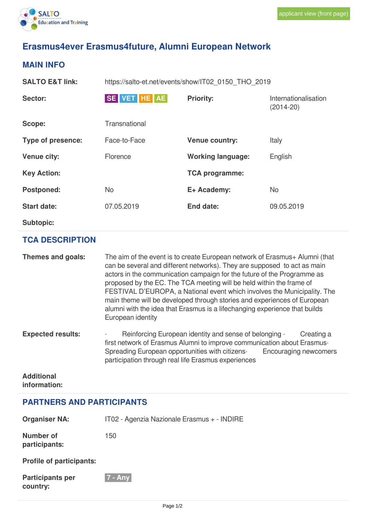

# **Erasmus4ever Erasmus4future, Alumni European Network**

### **MAIN INFO**

| <b>SALTO E&amp;T link:</b> | https://salto-et.net/events/show/IT02 0150 THO 2019 |                          |                                       |
|----------------------------|-----------------------------------------------------|--------------------------|---------------------------------------|
| Sector:                    | SE VET HE AE                                        | <b>Priority:</b>         | Internationalisation<br>$(2014 - 20)$ |
| Scope:                     | Transnational                                       |                          |                                       |
| Type of presence:          | Face-to-Face                                        | <b>Venue country:</b>    | Italy                                 |
| <b>Venue city:</b>         | Florence                                            | <b>Working language:</b> | English                               |
| <b>Key Action:</b>         |                                                     | <b>TCA programme:</b>    |                                       |
| <b>Postponed:</b>          | No                                                  | E+ Academy:              | <b>No</b>                             |
| <b>Start date:</b>         | 07.05.2019                                          | End date:                | 09.05.2019                            |
| <b>Subtopic:</b>           |                                                     |                          |                                       |

#### **TCA DESCRIPTION**

| Themes and goals:        | The aim of the event is to create European network of Erasmus+ Alumni (that<br>can be several and different networks). They are supposed to act as main<br>actors in the communication campaign for the future of the Programme as<br>proposed by the EC. The TCA meeting will be held within the frame of<br>FESTIVAL D'EUROPA, a National event which involves the Municipality. The<br>main theme will be developed through stories and experiences of European<br>alumni with the idea that Erasmus is a lifechanging experience that builds<br>European identity |
|--------------------------|-----------------------------------------------------------------------------------------------------------------------------------------------------------------------------------------------------------------------------------------------------------------------------------------------------------------------------------------------------------------------------------------------------------------------------------------------------------------------------------------------------------------------------------------------------------------------|
| <b>Expected results:</b> | Reinforcing European identity and sense of belonging .<br>Creating a<br>first network of Erasmus Alumni to improve communication about Erasmus.<br>Spreading European opportunities with citizens.<br>Encouraging newcomers<br>participation through real life Erasmus experiences                                                                                                                                                                                                                                                                                    |

#### **Additional information:**

## **PARTNERS AND PARTICIPANTS**

| <b>Organiser NA:</b>                | IT02 - Agenzia Nazionale Erasmus + - INDIRE |
|-------------------------------------|---------------------------------------------|
| Number of<br>participants:          | 150                                         |
| <b>Profile of participants:</b>     |                                             |
| <b>Participants per</b><br>country: | $7 - Any$                                   |